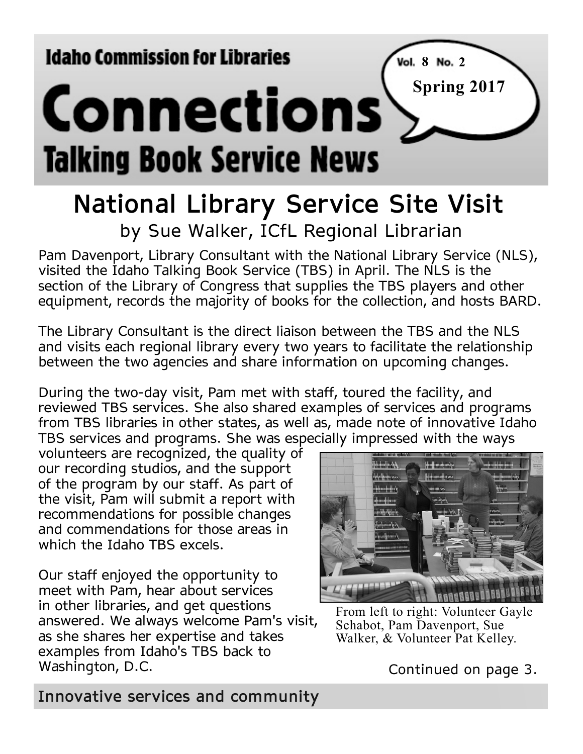**Idaho Commission for Libraries** 

# **Connections Talking Book Service News**

## **National Library Service Site Visit** by Sue Walker, ICfL Regional Librarian

Pam Davenport, Library Consultant with the National Library Service (NLS), visited the Idaho Talking Book Service (TBS) in April. The NLS is the section of the Library of Congress that supplies the TBS players and other equipment, records the majority of books for the collection, and hosts BARD.

The Library Consultant is the direct liaison between the TBS and the NLS and visits each regional library every two years to facilitate the relationship between the two agencies and share information on upcoming changes.

During the two-day visit, Pam met with staff, toured the facility, and reviewed TBS services. She also shared examples of services and programs from TBS libraries in other states, as well as, made note of innovative Idaho TBS services and programs. She was especially impressed with the ways

volunteers are recognized, the quality of our recording studios, and the support of the program by our staff. As part of the visit, Pam will submit a report with recommendations for possible changes and commendations for those areas in which the Idaho TBS excels.

Our staff enjoyed the opportunity to meet with Pam, hear about services in other libraries, and get questions answered. We always welcome Pam's visit, as she shares her expertise and takes examples from Idaho's TBS back to Washington, D.C.



**7 4 8 2**

**Fall 2016 Spring 2017**

From left to right: Volunteer Gayle Schabot, Pam Davenport, Sue Walker, & Volunteer Pat Kelley.

Continued on page 3.

**Innovative services and community**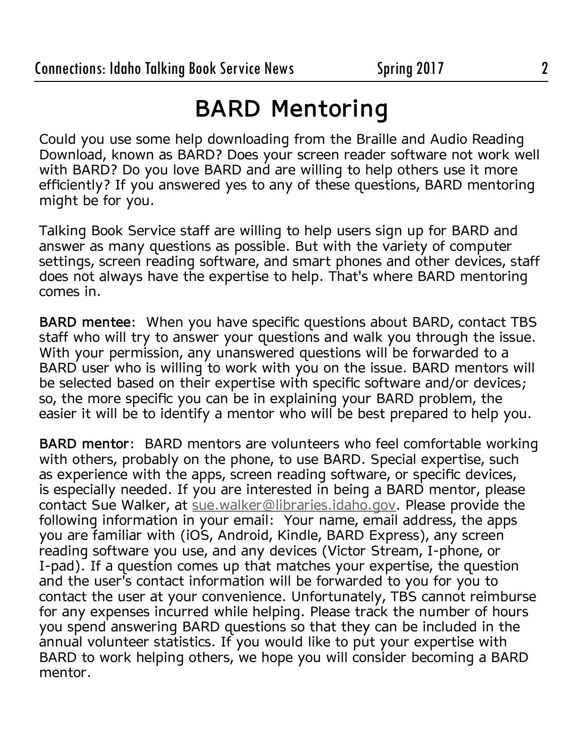## **BARD Mentoring**

Could you use some help downloading from the Braille and Audio Reading Download, known as BARD? Does your screen reader software not work well with BARD? Do you love BARD and are willing to help others use it more efficiently? If you answered yes to any of these questions, BARD mentoring might be for you.

Talking Book Service staff are willing to help users sign up for BARD and answer as many questions as possible. But with the variety of computer settings, screen reading software, and smart phones and other devices, staff does not always have the expertise to help. That's where BARD mentoring comes in.

**BARD mentee**: When you have specific questions about BARD, contact TBS staff who will try to answer your questions and walk you through the issue. With your permission, any unanswered questions will be forwarded to a BARD user who is willing to work with you on the issue. BARD mentors will be selected based on their expertise with specific software and/or devices; so, the more specific you can be in explaining your BARD problem, the easier it will be to identify a mentor who will be best prepared to help you.

**BARD mentor**: BARD mentors are volunteers who feel comfortable working with others, probably on the phone, to use BARD. Special expertise, such as experience with the apps, screen reading software, or specific devices, is especially needed. If you are interested in being a BARD mentor, please contact Sue Walker, at [sue.walker@libraries.idaho.gov.](mailto:sue.walker%40libraries.idaho.gov?subject=BARD%20Mentoring) Please provide the following information in your email: Your name, email address, the apps you are familiar with (iOS, Android, Kindle, BARD Express), any screen reading software you use, and any devices (Victor Stream, I-phone, or I-pad). If a question comes up that matches your expertise, the question and the user's contact information will be forwarded to you for you to contact the user at your convenience. Unfortunately, TBS cannot reimburse for any expenses incurred while helping. Please track the number of hours you spend answering BARD questions so that they can be included in the annual volunteer statistics. If you would like to put your expertise with BARD to work helping others, we hope you will consider becoming a BARD mentor.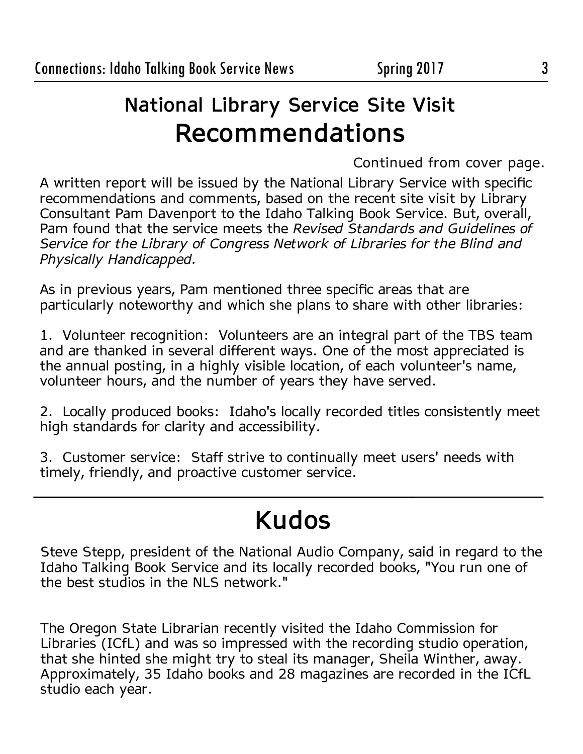## **National Library Service Site Visit Recommendations**

Continued from cover page.

A written report will be issued by the National Library Service with specific recommendations and comments, based on the recent site visit by Library Consultant Pam Davenport to the Idaho Talking Book Service. But, overall, Pam found that the service meets the *Revised Standards and Guidelines of Service for the Library of Congress Network of Libraries for the Blind and Physically Handicapped.*

As in previous years, Pam mentioned three specific areas that are particularly noteworthy and which she plans to share with other libraries:

1. Volunteer recognition: Volunteers are an integral part of the TBS team and are thanked in several different ways. One of the most appreciated is the annual posting, in a highly visible location, of each volunteer's name, volunteer hours, and the number of years they have served.

2. Locally produced books: Idaho's locally recorded titles consistently meet high standards for clarity and accessibility.

3. Customer service: Staff strive to continually meet users' needs with timely, friendly, and proactive customer service.

## **Kudos**

Steve Stepp, president of the National Audio Company, said in regard to the Idaho Talking Book Service and its locally recorded books, "You run one of the best studios in the NLS network."

The Oregon State Librarian recently visited the Idaho Commission for Libraries (ICfL) and was so impressed with the recording studio operation, that she hinted she might try to steal its manager, Sheila Winther, away. Approximately, 35 Idaho books and 28 magazines are recorded in the ICfL studio each year.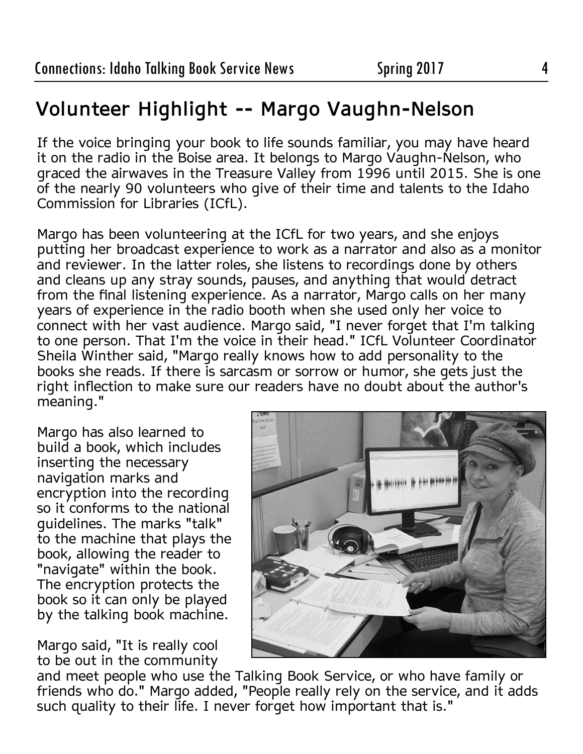## **Volunteer Highlight -- Margo Vaughn-Nelson**

If the voice bringing your book to life sounds familiar, you may have heard it on the radio in the Boise area. It belongs to Margo Vaughn-Nelson, who graced the airwaves in the Treasure Valley from 1996 until 2015. She is one of the nearly 90 volunteers who give of their time and talents to the Idaho Commission for Libraries (ICfL).

Margo has been volunteering at the ICfL for two years, and she enjoys putting her broadcast experience to work as a narrator and also as a monitor and reviewer. In the latter roles, she listens to recordings done by others and cleans up any stray sounds, pauses, and anything that would detract from the final listening experience. As a narrator, Margo calls on her many years of experience in the radio booth when she used only her voice to connect with her vast audience. Margo said, "I never forget that I'm talking to one person. That I'm the voice in their head." ICfL Volunteer Coordinator Sheila Winther said, "Margo really knows how to add personality to the books she reads. If there is sarcasm or sorrow or humor, she gets just the right inflection to make sure our readers have no doubt about the author's meaning."

Margo has also learned to build a book, which includes inserting the necessary navigation marks and encryption into the recording so it conforms to the national guidelines. The marks "talk" to the machine that plays the book, allowing the reader to "navigate" within the book. The encryption protects the book so it can only be played by the talking book machine.

Margo said, "It is really cool to be out in the community



and meet people who use the Talking Book Service, or who have family or friends who do." Margo added, "People really rely on the service, and it adds such quality to their life. I never forget how important that is."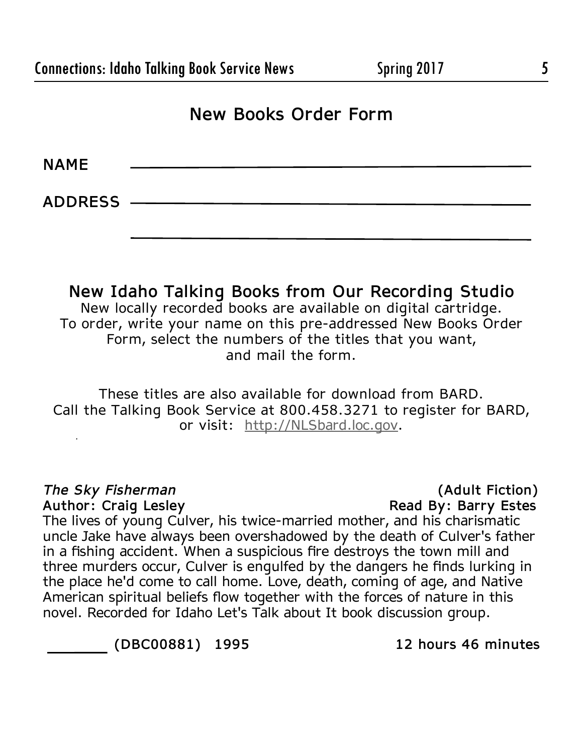### **New Books Order Form**

**NAME** 

**ADDRESS** 

**New Idaho Talking Books from Our Recording Studio** New locally recorded books are available on digital cartridge. To order, write your name on this pre-addressed New Books Order Form, select the numbers of the titles that you want, and mail the form.

These titles are also available for download from BARD. Call the Talking Book Service at 800.458.3271 to register for BARD, or visit: <http://NLSbard.loc.gov>.

*The Sky Fisherman* (Adult Fiction)<br>
Author: Craig Lesley *Read By: Barry Estes* Read By: Barry Estes

The lives of young Culver, his twice-married mother, and his charismatic uncle Jake have always been overshadowed by the death of Culver's father in a fishing accident. When a suspicious fire destroys the town mill and three murders occur, Culver is engulfed by the dangers he finds lurking in the place he'd come to call home. Love, death, coming of age, and Native American spiritual beliefs flow together with the forces of nature in this novel. Recorded for Idaho Let's Talk about It book discussion group.

 **(DBC00881) 1995 12 hours 46 minutes**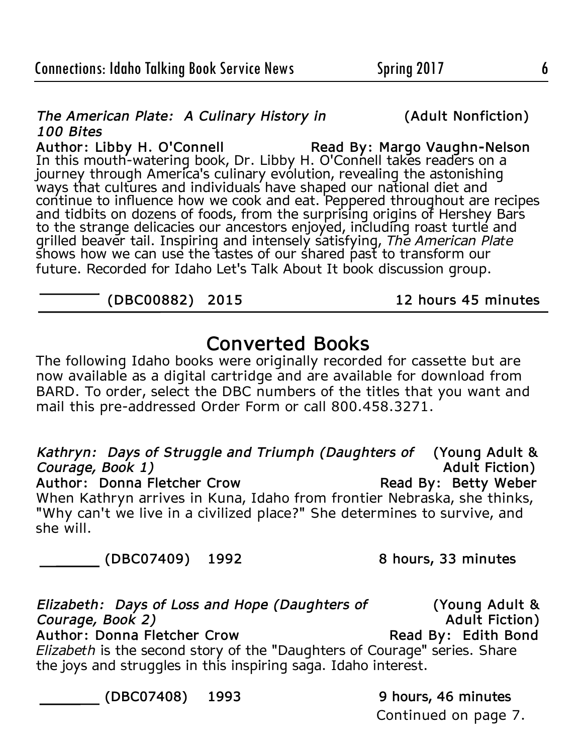#### *The American Plate: A Culinary History in* **(Adult Nonfiction)** *100 Bites*

**Author: Libby H. O'Connell Read By: Margo Vaughn-Nelson** In this mouth-watering book, Dr. Libby H. O'Connell takes readers on a journey through America's culinary evolution, revealing the astonishing ways that cultures and individuals have shaped our national diet and continue to influence how we cook and eat. Peppered throughout are recipes and tidbits on dozens of foods, from the surprising origins of Hershey Bars to the strange delicacies our ancestors enjoyed, including roast turtle and grilled beaver tail. Inspiring and intensely satisfying, *The American Plate* shows how we can use the tastes of our shared past to transform our future. Recorded for Idaho Let's Talk About It book discussion group.

#### **(DBC00882) 2015 12 hours 45 minutes**

### **Converted Books**

The following Idaho books were originally recorded for cassette but are now available as a digital cartridge and are available for download from BARD. To order, select the DBC numbers of the titles that you want and mail this pre-addressed Order Form or call 800.458.3271.

*Kathryn: Days of Struggle and Triumph (Daughters of* **(Young Adult &** *Courage, Book 1)* **Adult Fiction**) Author: Donna Fletcher Crow **Read By: Betty Weber** When Kathryn arrives in Kuna, Idaho from frontier Nebraska, she thinks, "Why can't we live in a civilized place?" She determines to survive, and she will.

**(DBC07409) 1992 8 hours, 33 minutes**

*Elizabeth: Days of Loss and Hope (Daughters of* **(Young Adult &**  *Courage, Book 2)* **Adult Fiction**) Author: Donna Fletcher Crow Read By: Edith Bond *Elizabeth* is the second story of the "Daughters of Courage" series. Share the joys and struggles in this inspiring saga. Idaho interest.

**(DBC07408) 1993 9 hours, 46 minutes**

Continued on page 7.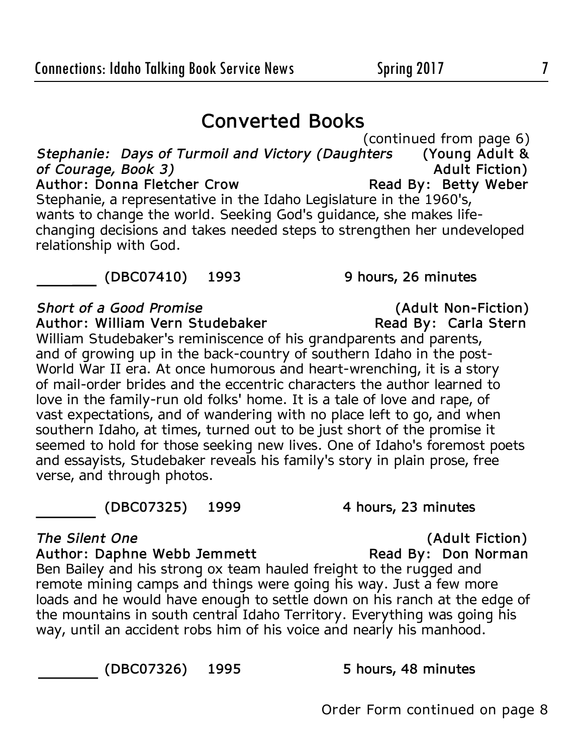### **Converted Books**

(continued from page 6)<br>
others (Young Adult & **Stephanie: Days of Turmoil and Victory (Daughters** *of Courage, Book 3)* **Adult Fiction**) Author: Donna Fletcher Crow **Read By: Betty Weber** Stephanie, a representative in the Idaho Legislature in the 1960's, wants to change the world. Seeking God's guidance, she makes lifechanging decisions and takes needed steps to strengthen her undeveloped relationship with God.

#### **(DBC07410) 1993 9 hours, 26 minutes**

#### *Short of a Good Promise* **(Adult Non-Fiction)** Author: William Vern Studebaker

William Studebaker's reminiscence of his grandparents and parents, and of growing up in the back-country of southern Idaho in the post-World War II era. At once humorous and heart-wrenching, it is a story of mail-order brides and the eccentric characters the author learned to love in the family-run old folks' home. It is a tale of love and rape, of vast expectations, and of wandering with no place left to go, and when southern Idaho, at times, turned out to be just short of the promise it seemed to hold for those seeking new lives. One of Idaho's foremost poets and essayists, Studebaker reveals his family's story in plain prose, free verse, and through photos.

#### **(DBC07325) 1999 4 hours, 23 minutes**

*The Silent One* **(Adult Fiction) Author: Daphne Webb Jemmett** 

Ben Bailey and his strong ox team hauled freight to the rugged and remote mining camps and things were going his way. Just a few more loads and he would have enough to settle down on his ranch at the edge of the mountains in south central Idaho Territory. Everything was going his way, until an accident robs him of his voice and nearly his manhood.

#### **(DBC07326) 1995 5 hours, 48 minutes**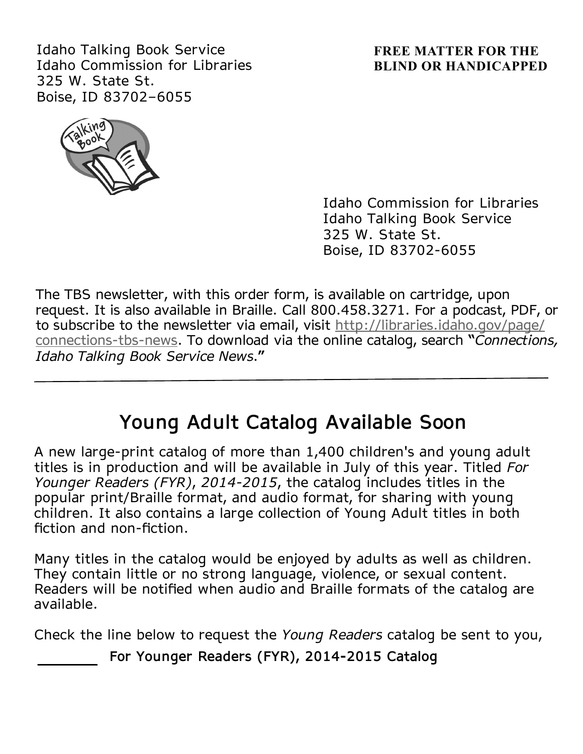Idaho Talking Book Service Idaho Commission for Libraries 325 W. State St. Boise, ID 83702–6055

#### **FREE MATTER FOR THE BLIND OR HANDICAPPED**



Idaho Commission for Libraries Idaho Talking Book Service 325 W. State St. Boise, ID 83702-6055

The TBS newsletter, with this order form, is available on cartridge, upon request. It is also available in Braille. Call 800.458.3271. For a podcast, PDF, or to subscribe to the newsletter via email, visit [http://libraries.idaho.gov/page/](http://libraries.idaho.gov/page/connections-tbs-news) [connections-tbs-news.](http://libraries.idaho.gov/page/connections-tbs-news) To download via the online catalog, search "*Connections, Idaho Talking Book Service News*."

## **Young Adult Catalog Available Soon**

A new large-print catalog of more than 1,400 children's and young adult titles is in production and will be available in July of this year. Titled *For Younger Readers (FYR), 2014-2015*, the catalog includes titles in the popular print/Braille format, and audio format, for sharing with young children. It also contains a large collection of Young Adult titles in both fiction and non-fiction.

Many titles in the catalog would be enjoyed by adults as well as children. They contain little or no strong language, violence, or sexual content. Readers will be notified when audio and Braille formats of the catalog are available.

Check the line below to request the *Young Readers* catalog be sent to you,

**For Younger Readers (FYR), 2014-2015 Catalog**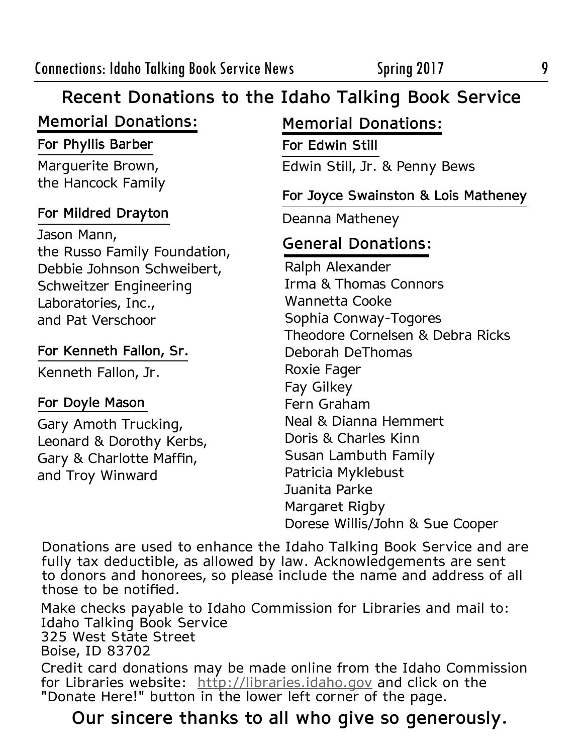## **Recent Donations to the Idaho Talking Book Service**

### **Memorial Donations:**

**For Phyllis Barber** Marguerite Brown, the Hancock Family

#### **For Mildred Drayton**

Jason Mann, the Russo Family Foundation, Debbie Johnson Schweibert, Schweitzer Engineering Laboratories, Inc., and Pat Verschoor

#### **For Kenneth Fallon, Sr.**

Kenneth Fallon, Jr.

#### **For Doyle Mason**

Gary Amoth Trucking, Leonard & Dorothy Kerbs, Gary & Charlotte Maffin, and Troy Winward

### **Memorial Donations:**

**For Edwin Still** Edwin Still, Jr. & Penny Bews

**For Joyce Swainston & Lois Matheney**

Deanna Matheney

#### **General Donations:**

Ralph Alexander Irma & Thomas Connors Wannetta Cooke Sophia Conway-Togores Theodore Cornelsen & Debra Ricks Deborah DeThomas Roxie Fager Fay Gilkey Fern Graham Neal & Dianna Hemmert Doris & Charles Kinn Susan Lambuth Family Patricia Myklebust Juanita Parke Margaret Rigby Dorese Willis/John & Sue Cooper

Donations are used to enhance the Idaho Talking Book Service and are fully tax deductible, as allowed by law. Acknowledgements are sent to donors and honorees, so please include the name and address of all those to be notified.

Make checks payable to Idaho Commission for Libraries and mail to: Idaho Talking Book Service 325 West State Street Boise, ID 83702

Credit card donations may be made online from the Idaho Commission for Libraries website: <http://libraries.idaho.gov> and click on the "Donate Here!" button in the lower left corner of the page.

### **Our sincere thanks to all who give so generously.**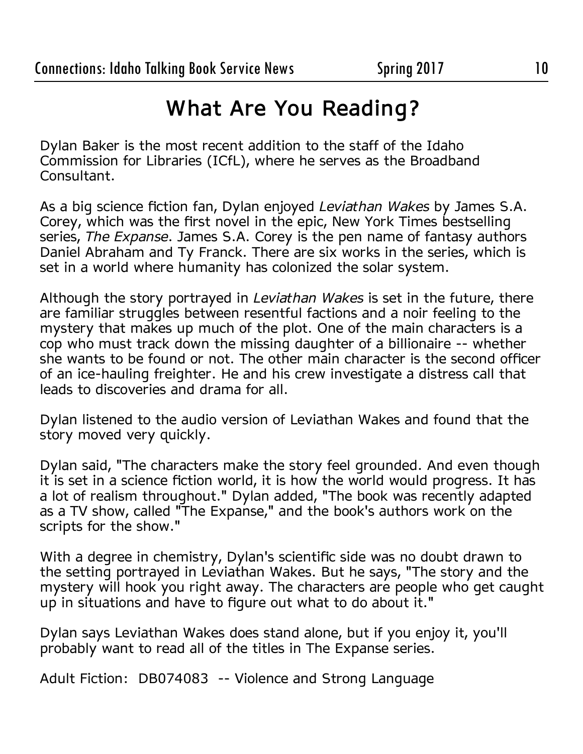## **What Are You Reading?**

Dylan Baker is the most recent addition to the staff of the Idaho Commission for Libraries (ICfL), where he serves as the Broadband Consultant.

As a big science fiction fan, Dylan enjoyed *Leviathan Wakes* by James S.A. Corey, which was the first novel in the epic, New York Times bestselling series, *The Expanse*. James S.A. Corey is the pen name of fantasy authors Daniel Abraham and Ty Franck. There are six works in the series, which is set in a world where humanity has colonized the solar system.

Although the story portrayed in *Leviathan Wakes* is set in the future, there are familiar struggles between resentful factions and a noir feeling to the mystery that makes up much of the plot. One of the main characters is a cop who must track down the missing daughter of a billionaire -- whether she wants to be found or not. The other main character is the second officer of an ice-hauling freighter. He and his crew investigate a distress call that leads to discoveries and drama for all.

Dylan listened to the audio version of Leviathan Wakes and found that the story moved very quickly.

Dylan said, "The characters make the story feel grounded. And even though it is set in a science fiction world, it is how the world would progress. It has a lot of realism throughout." Dylan added, "The book was recently adapted as a TV show, called "The Expanse," and the book's authors work on the scripts for the show."

With a degree in chemistry, Dylan's scientific side was no doubt drawn to the setting portrayed in Leviathan Wakes. But he says, "The story and the mystery will hook you right away. The characters are people who get caught up in situations and have to figure out what to do about it."

Dylan says Leviathan Wakes does stand alone, but if you enjoy it, you'll probably want to read all of the titles in The Expanse series.

Adult Fiction: DB074083 -- Violence and Strong Language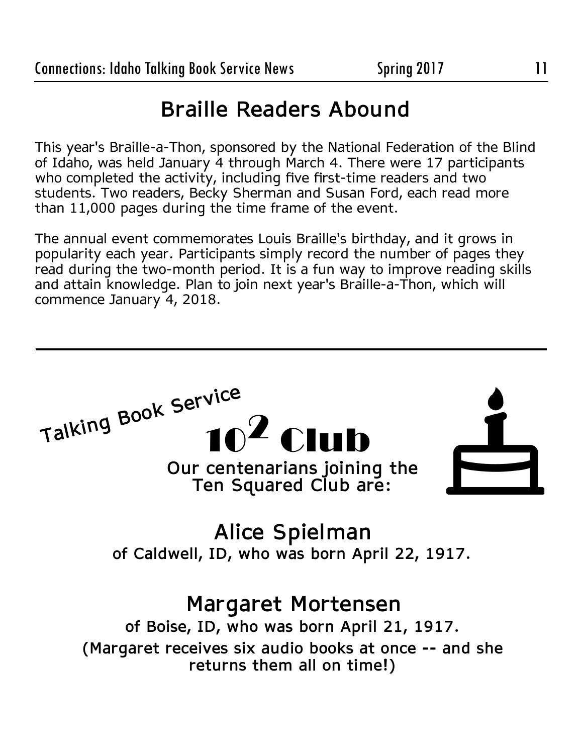## **Braille Readers Abound**

This year's Braille-a-Thon, sponsored by the National Federation of the Blind of Idaho, was held January 4 through March 4. There were 17 participants who completed the activity, including five first-time readers and two students. Two readers, Becky Sherman and Susan Ford, each read more than 11,000 pages during the time frame of the event.

The annual event commemorates Louis Braille's birthday, and it grows in popularity each year. Participants simply record the number of pages they read during the two-month period. It is a fun way to improve reading skills and attain knowledge. Plan to join next year's Braille-a-Thon, which will commence January 4, 2018.